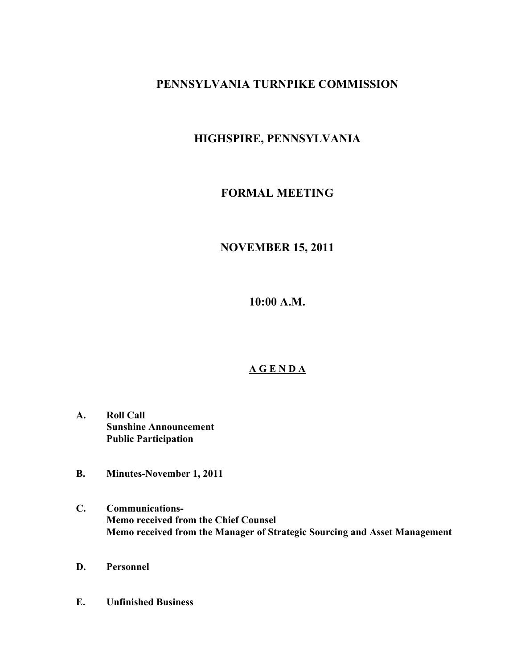### **PENNSYLVANIA TURNPIKE COMMISSION**

# **HIGHSPIRE, PENNSYLVANIA**

### **FORMAL MEETING**

# **NOVEMBER 15, 2011**

**10:00 A.M.**

## **A G E N D A**

- **A. Roll Call Sunshine Announcement Public Participation**
- **B. Minutes-November 1, 2011**
- **C. Communications-Memo received from the Chief Counsel Memo received from the Manager of Strategic Sourcing and Asset Management**
- **D. Personnel**
- **E. Unfinished Business**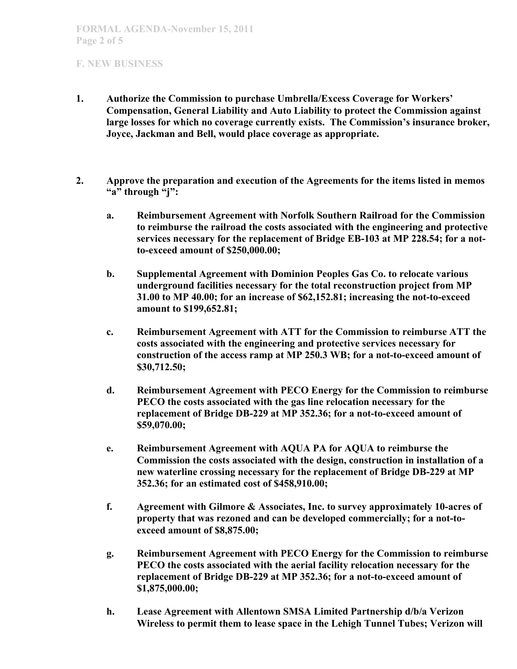- **1. Authorize the Commission to purchase Umbrella/Excess Coverage for Workers' Compensation, General Liability and Auto Liability to protect the Commission against large losses for which no coverage currently exists. The Commission's insurance broker, Joyce, Jackman and Bell, would place coverage as appropriate.**
- **2. Approve the preparation and execution of the Agreements for the items listed in memos "a" through "j":**
	- **a. Reimbursement Agreement with Norfolk Southern Railroad for the Commission to reimburse the railroad the costs associated with the engineering and protective services necessary for the replacement of Bridge EB-103 at MP 228.54; for a notto-exceed amount of \$250,000.00;**
	- **b. Supplemental Agreement with Dominion Peoples Gas Co. to relocate various underground facilities necessary for the total reconstruction project from MP 31.00 to MP 40.00; for an increase of \$62,152.81; increasing the not-to-exceed amount to \$199,652.81;**
	- **c. Reimbursement Agreement with ATT for the Commission to reimburse ATT the costs associated with the engineering and protective services necessary for construction of the access ramp at MP 250.3 WB; for a not-to-exceed amount of \$30,712.50;**
	- **d. Reimbursement Agreement with PECO Energy for the Commission to reimburse PECO the costs associated with the gas line relocation necessary for the replacement of Bridge DB-229 at MP 352.36; for a not-to-exceed amount of \$59,070.00;**
	- **e. Reimbursement Agreement with AQUA PA for AQUA to reimburse the Commission the costs associated with the design, construction in installation of a new waterline crossing necessary for the replacement of Bridge DB-229 at MP 352.36; for an estimated cost of \$458,910.00;**
	- **f. Agreement with Gilmore & Associates, Inc. to survey approximately 10-acres of property that was rezoned and can be developed commercially; for a not-toexceed amount of \$8,875.00;**
	- **g. Reimbursement Agreement with PECO Energy for the Commission to reimburse PECO the costs associated with the aerial facility relocation necessary for the replacement of Bridge DB-229 at MP 352.36; for a not-to-exceed amount of \$1,875,000.00;**
	- **h. Lease Agreement with Allentown SMSA Limited Partnership d/b/a Verizon Wireless to permit them to lease space in the Lehigh Tunnel Tubes; Verizon will**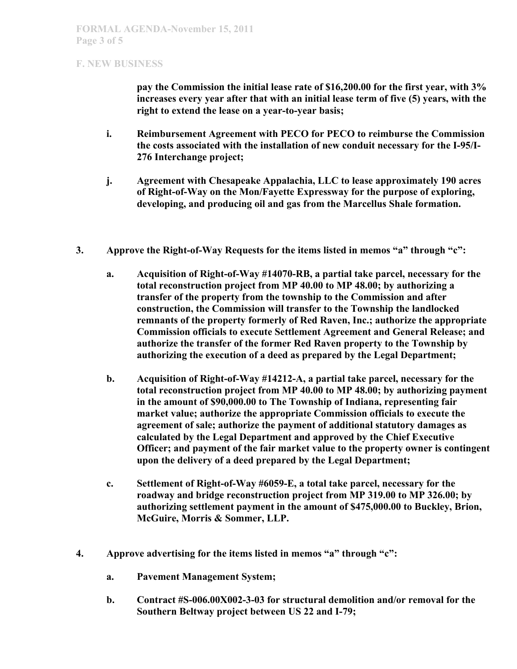**pay the Commission the initial lease rate of \$16,200.00 for the first year, with 3% increases every year after that with an initial lease term of five (5) years, with the right to extend the lease on a year-to-year basis;**

- **i. Reimbursement Agreement with PECO for PECO to reimburse the Commission the costs associated with the installation of new conduit necessary for the I-95/I-276 Interchange project;**
- **j. Agreement with Chesapeake Appalachia, LLC to lease approximately 190 acres of Right-of-Way on the Mon/Fayette Expressway for the purpose of exploring, developing, and producing oil and gas from the Marcellus Shale formation.**
- **3. Approve the Right-of-Way Requests for the items listed in memos "a" through "c":**
	- **a. Acquisition of Right-of-Way #14070-RB, a partial take parcel, necessary for the total reconstruction project from MP 40.00 to MP 48.00; by authorizing a transfer of the property from the township to the Commission and after construction, the Commission will transfer to the Township the landlocked remnants of the property formerly of Red Raven, Inc.; authorize the appropriate Commission officials to execute Settlement Agreement and General Release; and authorize the transfer of the former Red Raven property to the Township by authorizing the execution of a deed as prepared by the Legal Department;**
	- **b. Acquisition of Right-of-Way #14212-A, a partial take parcel, necessary for the total reconstruction project from MP 40.00 to MP 48.00; by authorizing payment in the amount of \$90,000.00 to The Township of Indiana, representing fair market value; authorize the appropriate Commission officials to execute the agreement of sale; authorize the payment of additional statutory damages as calculated by the Legal Department and approved by the Chief Executive Officer; and payment of the fair market value to the property owner is contingent upon the delivery of a deed prepared by the Legal Department;**
	- **c. Settlement of Right-of-Way #6059-E, a total take parcel, necessary for the roadway and bridge reconstruction project from MP 319.00 to MP 326.00; by authorizing settlement payment in the amount of \$475,000.00 to Buckley, Brion, McGuire, Morris & Sommer, LLP.**
- **4. Approve advertising for the items listed in memos "a" through "c":**
	- **a. Pavement Management System;**
	- **b. Contract #S-006.00X002-3-03 for structural demolition and/or removal for the Southern Beltway project between US 22 and I-79;**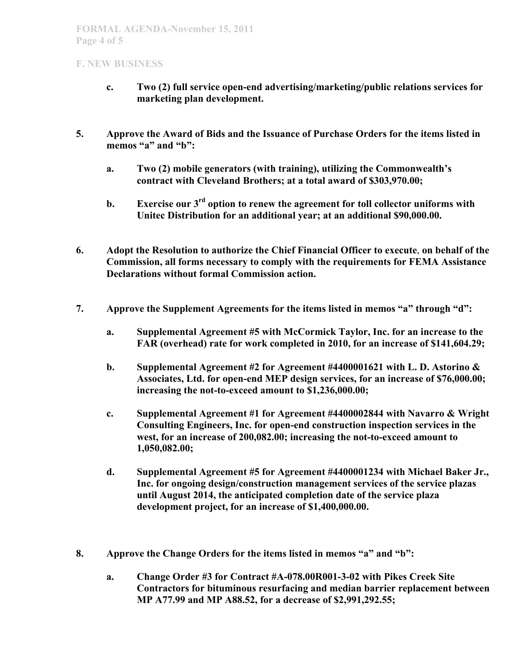- **c. Two (2) full service open-end advertising/marketing/public relations services for marketing plan development.**
- **5. Approve the Award of Bids and the Issuance of Purchase Orders for the items listed in memos "a" and "b":**
	- **a. Two (2) mobile generators (with training), utilizing the Commonwealth's contract with Cleveland Brothers; at a total award of \$303,970.00;**
	- **b. Exercise our 3rd option to renew the agreement for toll collector uniforms with Unitec Distribution for an additional year; at an additional \$90,000.00.**
- **6. Adopt the Resolution to authorize the Chief Financial Officer to execute**, **on behalf of the Commission, all forms necessary to comply with the requirements for FEMA Assistance Declarations without formal Commission action.**
- **7. Approve the Supplement Agreements for the items listed in memos "a" through "d":**
	- **a. Supplemental Agreement #5 with McCormick Taylor, Inc. for an increase to the FAR (overhead) rate for work completed in 2010, for an increase of \$141,604.29;**
	- **b. Supplemental Agreement #2 for Agreement #4400001621 with L. D. Astorino & Associates, Ltd. for open-end MEP design services, for an increase of \$76,000.00; increasing the not-to-exceed amount to \$1,236,000.00;**
	- **c. Supplemental Agreement #1 for Agreement #4400002844 with Navarro & Wright Consulting Engineers, Inc. for open-end construction inspection services in the west, for an increase of 200,082.00; increasing the not-to-exceed amount to 1,050,082.00;**
	- **d. Supplemental Agreement #5 for Agreement #4400001234 with Michael Baker Jr., Inc. for ongoing design/construction management services of the service plazas until August 2014, the anticipated completion date of the service plaza development project, for an increase of \$1,400,000.00.**
- **8. Approve the Change Orders for the items listed in memos "a" and "b":**
	- **a. Change Order #3 for Contract #A-078.00R001-3-02 with Pikes Creek Site Contractors for bituminous resurfacing and median barrier replacement between MP A77.99 and MP A88.52, for a decrease of \$2,991,292.55;**